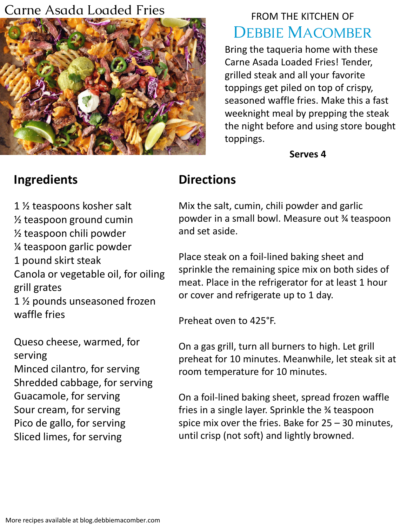#### Carne Asada Loaded Fries



# FROM THE KITCHEN OF DEBBIE MACOMBER

Bring the taqueria home with these Carne Asada Loaded Fries! Tender, grilled steak and all your favorite toppings get piled on top of crispy, seasoned waffle fries. Make this a fast weeknight meal by prepping the steak the night before and using store bought toppings.

**Serves 4**

# **Ingredients**

1 ½ teaspoons kosher salt

½ teaspoon ground cumin

½ teaspoon chili powder

¼ teaspoon garlic powder

1 pound skirt steak

Canola or vegetable oil, for oiling grill grates

1 ½ pounds unseasoned frozen waffle fries

Queso cheese, warmed, for serving Minced cilantro, for serving Shredded cabbage, for serving Guacamole, for serving Sour cream, for serving Pico de gallo, for serving Sliced limes, for serving

# **Directions**

Mix the salt, cumin, chili powder and garlic powder in a small bowl. Measure out ¾ teaspoon and set aside.

Place steak on a foil-lined baking sheet and sprinkle the remaining spice mix on both sides of meat. Place in the refrigerator for at least 1 hour or cover and refrigerate up to 1 day.

Preheat oven to 425°F.

On a gas grill, turn all burners to high. Let grill preheat for 10 minutes. Meanwhile, let steak sit at room temperature for 10 minutes.

On a foil-lined baking sheet, spread frozen waffle fries in a single layer. Sprinkle the ¾ teaspoon spice mix over the fries. Bake for 25 – 30 minutes, until crisp (not soft) and lightly browned.